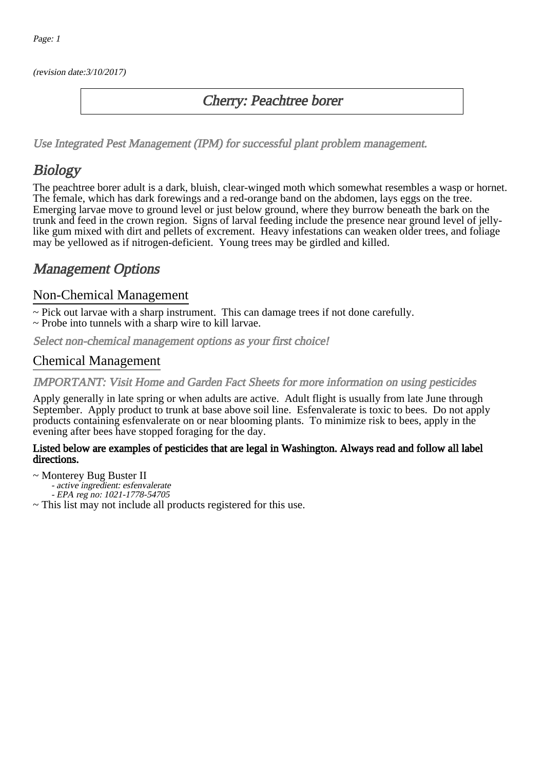(revision date:3/10/2017)

### Cherry: Peachtree borer

[Use Integrated Pest Management \(IPM\) for successful plant problem management.](http://pep.wsu.edu/Home_Garden/H_G_Pesticide_info/urban_Integrated_Pest_Managmen/)

# **Biology**

The peachtree borer adult is a dark, bluish, clear-winged moth which somewhat resembles a wasp or hornet. The female, which has dark forewings and a red-orange band on the abdomen, lays eggs on the tree. Emerging larvae move to ground level or just below ground, where they burrow beneath the bark on the trunk and feed in the crown region. Signs of larval feeding include the presence near ground level of jellylike gum mixed with dirt and pellets of excrement. Heavy infestations can weaken older trees, and foliage may be yellowed as if nitrogen-deficient. Young trees may be girdled and killed.

# Management Options

#### Non-Chemical Management

~ Pick out larvae with a sharp instrument. This can damage trees if not done carefully.

~ Probe into tunnels with a sharp wire to kill larvae.

Select non-chemical management options as your first choice!

#### Chemical Management

IMPORTANT: [Visit Home and Garden Fact Sheets for more information on using pesticides](http://pep.wsu.edu/Home_Garden/H_G_Pesticide_info/)

Apply generally in late spring or when adults are active. Adult flight is usually from late June through September. Apply product to trunk at base above soil line. Esfenvalerate is toxic to bees. Do not apply products containing esfenvalerate on or near blooming plants. To minimize risk to bees, apply in the evening after bees have stopped foraging for the day.

#### Listed below are examples of pesticides that are legal in Washington. Always read and follow all label directions.

~ Monterey Bug Buster II

- active ingredient: esfenvalerate
- EPA reg no: 1021-1778-54705

~ This list may not include all products registered for this use.